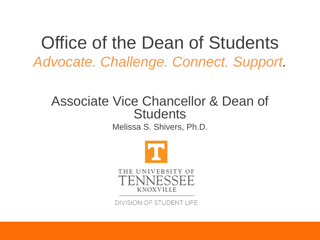Office of the Dean of Students *Advocate. Challenge. Connect. Support.*

### Associate Vice Chancellor & Dean of **Students**

Melissa S. Shivers, Ph.D.



DIVISION OF STUDENT LIFE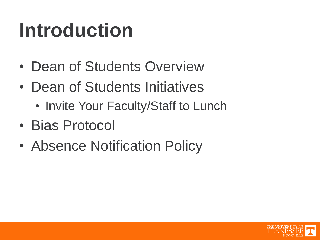# **Introduction**

- Dean of Students Overview
- Dean of Students Initiatives
	- Invite Your Faculty/Staff to Lunch
- Bias Protocol
- Absence Notification Policy

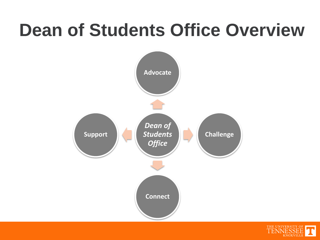### **Dean of Students Office Overview**



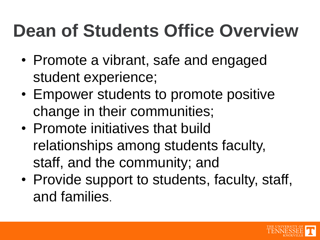### **Dean of Students Office Overview**

- Promote a vibrant, safe and engaged student experience;
- Empower students to promote positive change in their communities;
- Promote initiatives that build relationships among students faculty, staff, and the community; and
- Provide support to students, faculty, staff, and families.

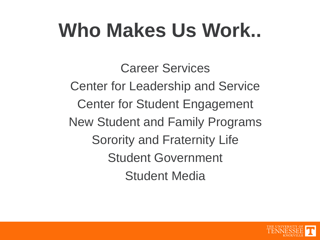# **Who Makes Us Work..**

Career Services Center for Leadership and Service Center for Student Engagement New Student and Family Programs Sorority and Fraternity Life Student Government Student Media

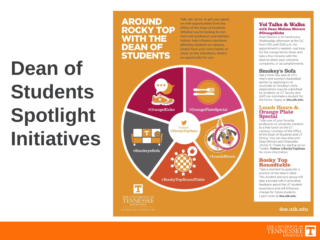# **Dean of Students Spotlight Initiatives**

### **AROUND ROCKY TOP WITH THE DEAN OF STUDENTS**

Talk, eat, serve, or get your game on with opportunities from the Office of the Dean of Students. Whether you're looking to connect with professors and administrators, help influence decisions affecting students on campus, simply have your voice heard, or cheer on the Volunteers, there's an opportunity for you.



#### **Vol Talks & Walks** with Dean Melissa Shivers **#OrangeKicks**

Dean Shivers is on hand every Wednesday afternoon at the UC from 1:30 until 3:00 p.m. No appointment is needed-just look for the orange tennis shoes and take a few minutes with the dean to share your concerns, complaints, or accomplishments.

#### **Smokey's Sofa**

Get a front row seat at UT's men's and women's basketball games by applying to sit courtside on Smokey's Sofa. Applications may be submitted by students, or UT faculty and staff can nominate a student for the honor. Apply at dos.utk.edu.

#### **Lunch Hours & Orange Plate Special**

Treat one of your favorite professors or university mentors to a free lunch on the UT campus, courtesy of the Office of the Dean of Students and UT Dining. You can also dine with Dean Shivers and Chancellor Jimmy G. Cheek by signing up on Twitter. Follow @RockyTopDean for more information.

### **Rocky Top<br>Roundtable**

Take a moment to apply for a position at the dean's table. This student advisory group will play a pivotal role in providing feedback about the UT student experience and will influence change for future students. Learn more at dos.utk.edu.

#### dos.utk.edu

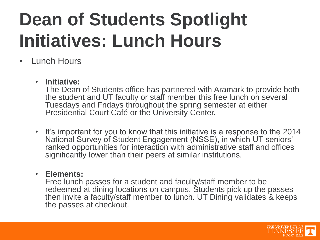## **Dean of Students Spotlight Initiatives: Lunch Hours**

### • Lunch Hours

### • **Initiative:**

The Dean of Students office has partnered with Aramark to provide both the student and UT faculty or staff member this free lunch on several Tuesdays and Fridays throughout the spring semester at either Presidential Court Café or the University Center.

• It's important for you to know that this initiative is a response to the 2014 National Survey of Student Engagement (NSSE), in which UT seniors' ranked opportunities for interaction with administrative staff and offices significantly lower than their peers at similar institutions*.*

### • **Elements:**

Free lunch passes for a student and faculty/staff member to be redeemed at dining locations on campus. Students pick up the passes then invite a faculty/staff member to lunch. UT Dining validates & keeps the passes at checkout.

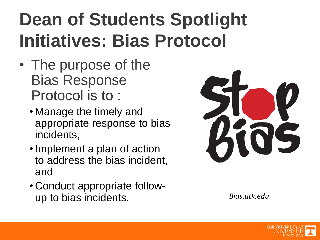## **Dean of Students Spotlight Initiatives: Bias Protocol**

- The purpose of the Bias Response Protocol is to :
	- Manage the timely and appropriate response to bias incidents,
	- Implement a plan of action to address the bias incident, and
	- Conduct appropriate followup to bias incidents. *Bias.utk.edu*



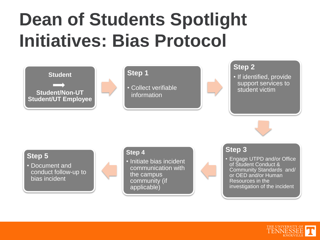### **Dean of Students Spotlight Initiatives: Bias Protocol**



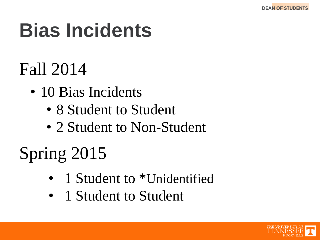# **Bias Incidents**

### Fall 2014

- 10 Bias Incidents
	- 8 Student to Student
	- 2 Student to Non-Student

## Spring 2015

- 1 Student to \*Unidentified
- 1 Student to Student

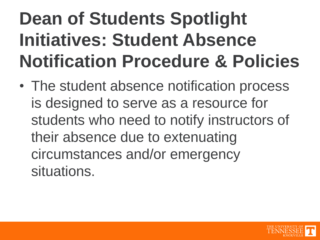## **Dean of Students Spotlight Initiatives: Student Absence Notification Procedure & Policies**

• The student absence notification process is designed to serve as a resource for students who need to notify instructors of their absence due to extenuating circumstances and/or emergency situations.

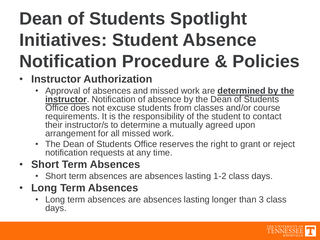## **Dean of Students Spotlight Initiatives: Student Absence Notification Procedure & Policies**

### **Instructor Authorization**

- Approval of absences and missed work are **determined by the instructor**. Notification of absence by the Dean of Students Office does not excuse students from classes and/or course requirements. It is the responsibility of the student to contact their instructor/s to determine a mutually agreed upon arrangement for all missed work.
- The Dean of Students Office reserves the right to grant or reject notification requests at any time.

### • **Short Term Absences**

• Short term absences are absences lasting 1-2 class days.

### • **Long Term Absences**

• Long term absences are absences lasting longer than 3 class days.